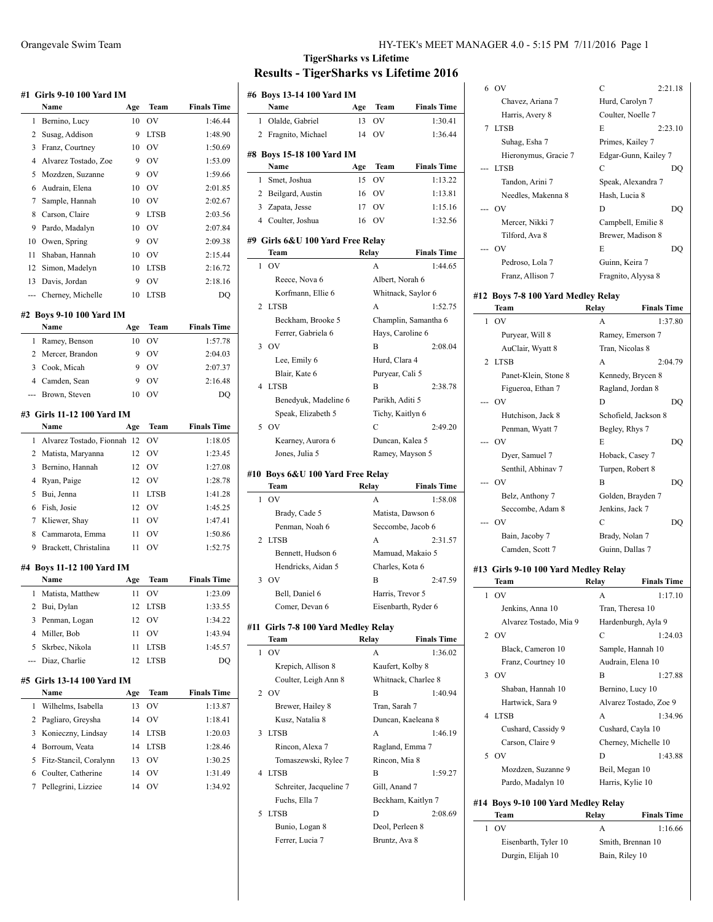|                | #1 Girls 9-10 100 Yard IM          |     |                               |                    |
|----------------|------------------------------------|-----|-------------------------------|--------------------|
|                | Name                               | Age | Team                          | <b>Finals Time</b> |
| 1              | Bernino, Lucy                      | 10  | OV                            | 1:46.44            |
| 2              | Susag, Addison                     | 9   | <b>LTSB</b>                   | 1:48.90            |
| 3              | Franz, Courtney                    | 10  | O <sub>V</sub>                | 1:50.69            |
| 4              | Alvarez Tostado, Zoe               | 9   | O <sub>V</sub>                | 1:53.09            |
| 5              | Mozdzen, Suzanne                   | 9   | OV                            | 1:59.66            |
| 6              | Audrain, Elena                     | 10  | OV                            | 2:01.85            |
| 7              | Sample, Hannah                     | 10  | OV                            | 2:02.67            |
| 8              | Carson, Claire                     | 9   | <b>LTSB</b>                   | 2:03.56            |
| 9              | Pardo, Madalyn                     | 10  | OV                            | 2:07.84            |
| 10             | Owen, Spring                       | 9   | OV                            | 2:09.38            |
| 11             | Shaban, Hannah                     | 10  | <b>OV</b>                     | 2:15.44            |
| 12             | Simon, Madelyn                     | 10  | <b>LTSB</b>                   | 2:16.72            |
| 13             | Davis, Jordan                      | 9   | OV                            | 2:18.16            |
| ---            | Cherney, Michelle                  | 10  | <b>LTSB</b>                   | DO                 |
|                | #2 Boys 9-10 100 Yard IM           |     |                               |                    |
|                | Name                               | Age | Team                          | <b>Finals Time</b> |
| 1              | Ramey, Benson                      | 10  | OV                            | 1:57.78            |
| 2              | Mercer, Brandon                    | 9   | OV                            | 2:04.03            |
| 3              | Cook, Micah                        | 9   | OV                            | 2:07.37            |
|                | 4 Camden, Sean                     | 9   | OV                            | 2:16.48            |
| ---            | Brown, Steven                      | 10  | OV                            | DO                 |
|                | #3 Girls 11-12 100 Yard IM<br>Name | Age | Team                          | <b>Finals Time</b> |
| 1              | Alvarez Tostado, Fionnah           | 12  | OV                            | 1:18.05            |
| 2              | Matista, Maryanna                  | 12  | OV                            | 1:23.45            |
| 3              | Bernino, Hannah                    | 12  | OV                            | 1:27.08            |
| 4              | Ryan, Paige                        | 12  | OV                            | 1:28.78            |
| 5              | Bui, Jenna                         | 11  | <b>LTSB</b>                   | 1:41.28            |
| 6              | Fish, Josie                        | 12  | OV                            | 1:45.25            |
| 7              | Kliewer, Shay                      | 11  | <b>OV</b>                     | 1:47.41            |
| 8              | Cammarota, Emma                    | 11  | OV                            | 1:50.86            |
| 9              | Brackett, Christalina              | 11  | OV                            | 1:52.75            |
|                | #4 Boys 11-12 100 Yard IM          |     |                               |                    |
|                | Name                               | Age | Team                          | <b>Finals Time</b> |
| 1              | Matista, Matthew                   | 11  | OV                            | 1:23.09            |
| 2              | Bui, Dylan                         | 12  | LTSB                          | 1:33.55            |
| 3              | Penman, Logan                      | 12  | OV                            | 1:34.22            |
| $\overline{4}$ | Miller, Bob                        | 11  | OV                            | 1:43.94            |
| 5              | Skrbec, Nikola                     | 11  | <b>LTSB</b>                   | 1:45.57            |
|                | Diaz, Charlie                      | 12  | <b>LTSB</b>                   | DQ                 |
|                | #5 Girls 13-14 100 Yard IM         |     |                               |                    |
|                | Name                               | Age | Team                          | <b>Finals Time</b> |
| 1              | Wilhelms, Isabella                 | 13  | O <sub>V</sub>                | 1:13.87            |
| 2              | Pagliaro, Greysha                  | 14  | OV                            | 1:18.41            |
| 3              | Konieczny, Lindsay                 | 14  | LTSB                          | 1:20.03            |
| 4              | Borroum, Veata                     | 14  | <b>LTSB</b>                   | 1:28.46            |
| 5              | Fitz-Stancil, Coralynn             | 13  | OV                            | 1:30.25            |
| 6              | Coulter, Catherine                 | 14  | OV                            | 1:31.49            |
| 7              | Pellegrini, Lizziee                | 14  | $\overline{\text{O}}\text{V}$ | 1:34.92            |
|                |                                    |     |                               |                    |

# **TigerSharks vs Lifetime Results - TigerSharks vs Lifetime 2016**

 $\overline{\phantom{a}}$ 

 $\overline{a}$ 

 $\overline{a}$ 

 $\overline{a}$ 

 $\overline{\phantom{a}}$ 

| #6 Boys 13-14 100 Yard IM                 |       |                   |                               |
|-------------------------------------------|-------|-------------------|-------------------------------|
| Name                                      | Age   | Team              | <b>Finals Time</b>            |
| 1<br>Olalde, Gabriel                      | 13    | OV                | 1:30.41                       |
| 2 Fragnito, Michael                       | 14    | OV                | 1:36.44                       |
| #8 Boys 15-18 100 Yard IM                 |       |                   |                               |
| Name                                      | Age   | Team              | <b>Finals Time</b>            |
| Smet, Joshua<br>1                         | 15    | OV                | 1:13.22                       |
| 2 Beilgard, Austin                        | 16    | OV                | 1:13.81                       |
| 3<br>Zapata, Jesse                        | 17    | OV                | 1:15.16                       |
| 4 Coulter, Joshua                         | 16    | OV                | 1:32.56                       |
|                                           |       |                   |                               |
| #9  Girls 6&U 100 Yard Free Relay         |       |                   |                               |
| Team<br>OV<br>1                           | Relay | A                 | <b>Finals Time</b><br>1:44.65 |
| Reece, Nova 6                             |       | Albert, Norah 6   |                               |
| Korfmann, Ellie 6                         |       |                   | Whitnack, Saylor 6            |
| <b>LTSB</b><br>2                          |       | А                 | 1:52.75                       |
| Beckham, Brooke 5                         |       |                   | Champlin, Samantha 6          |
| Ferrer, Gabriela 6                        |       | Hays, Caroline 6  |                               |
| $\overline{O}$<br>3                       |       | B                 | 2:08.04                       |
| Lee, Emily 6                              |       | Hurd, Clara 4     |                               |
| Blair, Kate 6                             |       | Puryear, Cali 5   |                               |
| 4<br><b>LTSB</b>                          |       | В                 | 2:38.78                       |
| Benedyuk, Madeline 6                      |       | Parikh, Aditi 5   |                               |
| Speak, Elizabeth 5                        |       | Tichy, Kaitlyn 6  |                               |
| OV<br>5                                   |       | C                 | 2:49.20                       |
| Kearney, Aurora 6                         |       | Duncan, Kalea 5   |                               |
| Jones, Julia 5                            |       | Ramey, Mayson 5   |                               |
|                                           |       |                   |                               |
|                                           |       |                   |                               |
| #10  Boys 6&U 100 Yard Free Relay<br>Team | Relay |                   | <b>Finals Time</b>            |
| OV<br>1                                   |       | A                 | 1:58.08                       |
| Brady, Cade 5                             |       | Matista, Dawson 6 |                               |
| Penman, Noah 6                            |       |                   | Seccombe, Jacob 6             |
| <b>LTSB</b><br>2                          |       | A                 | 2:31.57                       |
| Bennett, Hudson 6                         |       |                   | Mamuad, Makaio 5              |
| Hendricks, Aidan 5                        |       | Charles, Kota 6   |                               |
| 3<br>O <sub>V</sub>                       |       | B                 | 2:47.59                       |
| Bell, Daniel 6                            |       | Harris, Trevor 5  |                               |
| Comer, Devan 6                            |       |                   | Eisenbarth, Ryder 6           |
| #11  Girls 7-8 100 Yard Medley Relay      |       |                   |                               |
| Team                                      | Relay |                   | <b>Finals Time</b>            |
| OV<br>1                                   |       | A                 | 1:36.02                       |
| Krepich, Allison 8                        |       | Kaufert, Kolby 8  |                               |
| Coulter, Leigh Ann 8                      |       |                   | Whitnack, Charlee 8           |
| OV<br>2                                   |       | B                 | 1:40.94                       |
| Brewer, Hailey 8                          |       | Tran, Sarah 7     |                               |
| Kusz, Natalia 8                           |       |                   | Duncan, Kaeleana 8            |
| <b>LTSB</b><br>3                          |       | А                 | 1:46.19                       |
| Rincon, Alexa 7                           |       | Ragland, Emma 7   |                               |
| Tomaszewski, Rylee 7                      |       | Rincon, Mia 8     |                               |
| 4<br><b>LTSB</b>                          |       | В                 | 1:59.27                       |
| Schreiter, Jacqueline 7                   |       | Gill, Anand 7     |                               |
| Fuchs, Ella 7<br><b>LTSB</b><br>5         |       | D                 | Beckham, Kaitlyn 7<br>2:08.69 |
|                                           |       | Deol, Perleen 8   |                               |
| Bunio, Logan 8<br>Ferrer, Lucia 7         |       | Bruntz, Ava 8     |                               |

|                | 6 OV                                 | С                    | 2:21.18              |
|----------------|--------------------------------------|----------------------|----------------------|
|                | Chavez, Ariana 7                     | Hurd, Carolyn 7      |                      |
|                | Harris, Avery 8                      | Coulter, Noelle 7    |                      |
| 7              | <b>LTSB</b>                          | E                    | 2:23.10              |
|                | Suhag, Esha 7                        | Primes, Kailey 7     |                      |
|                | Hieronymus, Gracie 7                 |                      | Edgar-Gunn, Kailey 7 |
| ---            | <b>LTSB</b>                          | C                    | DQ                   |
|                | Tandon, Arini 7                      | Speak, Alexandra 7   |                      |
|                | Needles, Makenna 8                   | Hash, Lucia 8        |                      |
|                | --- OV                               | D                    | DO                   |
|                | Mercer, Nikki 7                      | Campbell, Emilie 8   |                      |
|                | Tilford, Ava 8                       | Brewer, Madison 8    |                      |
|                | OV                                   | E                    | DQ                   |
|                | Pedroso, Lola 7                      | Guinn, Keira 7       |                      |
|                | Franz, Allison 7                     | Fragnito, Alyysa 8   |                      |
|                | #12 Boys 7-8 100 Yard Medley Relay   |                      |                      |
|                | Team                                 | Relay                | <b>Finals Time</b>   |
| 1              | OV                                   | А                    | 1:37.80              |
|                | Puryear, Will 8                      | Ramey, Emerson 7     |                      |
|                | AuClair, Wyatt 8                     | Tran, Nicolas 8      |                      |
| $\overline{c}$ | <b>LTSB</b>                          | A                    | 2:04.79              |
|                | Panet-Klein, Stone 8                 | Kennedy, Brycen 8    |                      |
|                | Figueroa, Ethan 7                    | Ragland, Jordan 8    |                      |
|                | <b>OV</b>                            | D                    | DQ                   |
|                | Hutchison, Jack 8                    | Schofield, Jackson 8 |                      |
|                | Penman, Wyatt 7                      | Begley, Rhys 7       |                      |
|                | --- OV                               | E                    | DO                   |
|                | Dyer, Samuel 7                       | Hoback, Casey 7      |                      |
|                | Senthil, Abhinav 7                   | Turpen, Robert 8     |                      |
|                | --- OV                               | B                    | DQ                   |
|                | Belz, Anthony 7                      | Golden, Brayden 7    |                      |
|                | Seccombe, Adam 8                     | Jenkins, Jack 7      |                      |
|                | --- OV                               | C                    | DO                   |
|                | Bain, Jacoby 7                       | Brady, Nolan 7       |                      |
|                | Camden, Scott 7                      | Guinn, Dallas 7      |                      |
|                | #13 Girls 9-10 100 Yard Medley Relay |                      |                      |
|                | Team                                 | Relay                | <b>Finals Time</b>   |
|                |                                      |                      |                      |
| 1              | OV                                   | A                    | 1:17.10              |

|        | Jenkins, Anna 10                    | Tran, Theresa 10  |                        |
|--------|-------------------------------------|-------------------|------------------------|
|        | Alvarez Tostado, Mia 9              |                   | Hardenburgh, Ayla 9    |
|        | 2 OV                                | C                 | 1:24.03                |
|        | Black, Cameron 10                   |                   | Sample, Hannah 10      |
|        | Franz, Courtney 10                  | Audrain, Elena 10 |                        |
| 3      | $_{\rm OV}$                         | B                 | 1:27.88                |
|        | Shaban, Hannah 10                   | Bernino, Lucy 10  |                        |
|        | Hartwick, Sara 9                    |                   | Alvarez Tostado, Zoe 9 |
| 4      | <b>LTSB</b>                         | A                 | 1:34.96                |
|        | Cushard, Cassidy 9                  | Cushard, Cayla 10 |                        |
|        | Carson, Claire 9                    |                   | Cherney, Michelle 10   |
| $\sim$ | O <sub>V</sub>                      | D                 | 1:43.88                |
|        | Mozdzen, Suzanne 9                  | Beil, Megan 10    |                        |
|        | Pardo, Madalyn 10                   | Harris, Kylie 10  |                        |
|        | #14 Boys 9-10 100 Yard Medley Relay |                   |                        |
|        | Team                                | Relay             | <b>Finals Time</b>     |
| 1      | OV                                  | A                 | 1:16.66                |
|        | Eisenbarth, Tyler 10                | Smith, Brennan 10 |                        |

Durgin, Elijah 10 Bain, Riley 10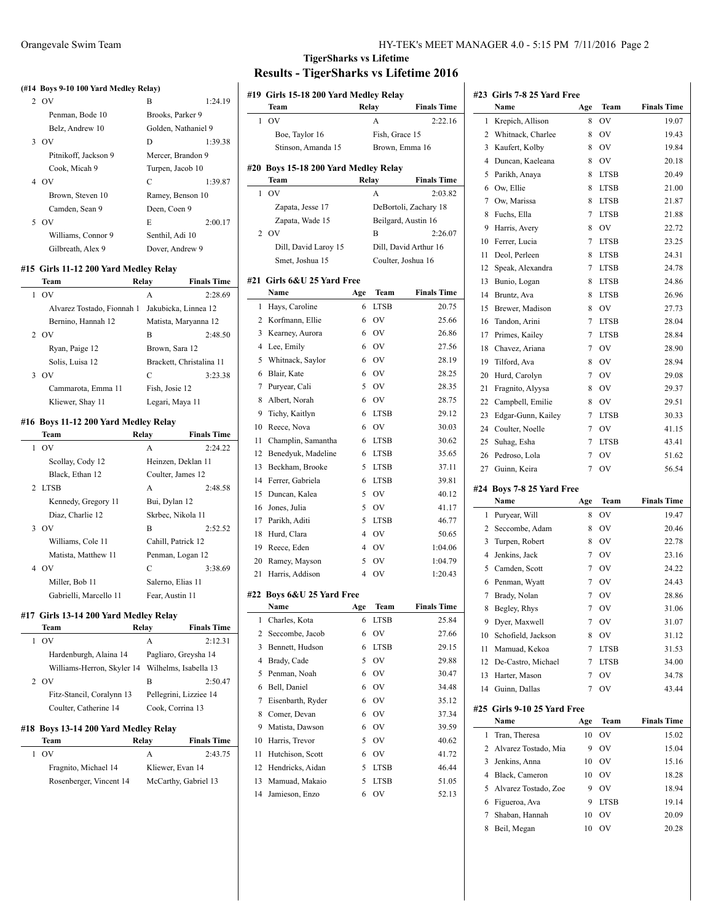#### **(#14 Boys 9-10 100 Yard Medley Relay)**

| 2 OV                 | B                 | 1:24.19             |
|----------------------|-------------------|---------------------|
| Penman, Bode 10      | Brooks, Parker 9  |                     |
| Belz, Andrew 10      |                   | Golden, Nathaniel 9 |
| - OV<br>3.           | D                 | 1:39.38             |
| Pitnikoff, Jackson 9 | Mercer, Brandon 9 |                     |
| Cook, Micah 9        | Turpen, Jacob 10  |                     |
| 4 OV                 | C                 | 1:39.87             |
| Brown, Steven 10     | Ramey, Benson 10  |                     |
| Camden, Sean 9       | Deen, Coen 9      |                     |
| OV<br>5.             | E                 | 2:00.17             |
| Williams, Connor 9   | Senthil, Adi 10   |                     |
| Gilbreath, Alex 9    | Dover, Andrew 9   |                     |

## **#15 Girls 11-12 200 Yard Medley Relay**

 $\overline{a}$ 

|              | Team                                 | Relay           | <b>Finals Time</b>       |
|--------------|--------------------------------------|-----------------|--------------------------|
|              | 1 OV                                 | A               | 2:28.69                  |
|              | Alvarez Tostado, Fionnah 1           |                 | Jakubicka, Linnea 12     |
|              | Bernino, Hannah 12                   |                 | Matista, Maryanna 12     |
|              | 2 OV                                 | B               | 2:48.50                  |
|              | Ryan, Paige 12                       | Brown, Sara 12  |                          |
|              | Solis, Luisa 12                      |                 | Brackett, Christalina 11 |
|              | 3.0V                                 | C               | 3:23.38                  |
|              | Cammarota, Emma 11                   | Fish, Josie 12  |                          |
|              | Kliewer, Shay 11                     | Legari, Maya 11 |                          |
|              | #16 Boys 11-12 200 Yard Medley Relay |                 |                          |
|              | Team                                 | Relay           | <b>Finals Time</b>       |
| $\mathbf{1}$ | OV                                   | A               | 2:24.22                  |
|              | Scollay, Cody 12                     |                 | Heinzen, Deklan 11       |
|              | Black, Ethan 12                      |                 | Coulter, James 12        |
|              | 2 LTSB                               | A               | 2:48.58                  |
|              |                                      |                 |                          |

| 2 LTSB                 | 2.48.58<br>A       |
|------------------------|--------------------|
| Kennedy, Gregory 11    | Bui, Dylan 12      |
| Diaz, Charlie 12       | Skrbec, Nikola 11  |
| OV                     | 2:52.52<br>B       |
| Williams, Cole 11      | Cahill, Patrick 12 |
| Matista, Matthew 11    | Penman, Logan 12   |
| OV                     | 3:38.69<br>C       |
| Miller, Bob 11         | Salerno, Elias 11  |
| Gabrielli, Marcello 11 | Fear, Austin 11    |

## **#17 Girls 13-14 200 Yard Medley Relay**

| Team                                 | Relay | <b>Finals Time</b>     |
|--------------------------------------|-------|------------------------|
| OV                                   | A     | 2:12.31                |
| Hardenburgh, Alaina 14               |       | Pagliaro, Greysha 14   |
| Williams-Herron, Skyler 14           |       | Wilhelms, Isabella 13  |
| 2 OV                                 | в     | 2:50.47                |
| Fitz-Stancil, Coralynn 13            |       | Pellegrini, Lizziee 14 |
| Coulter, Catherine 14                |       | Cook, Corrina 13       |
| #18 Boys 13-14 200 Yard Medlev Relav |       |                        |

| Team                    | Relay | <b>Finals Time</b>   |
|-------------------------|-------|----------------------|
| OV                      | А     | 2.43.75              |
| Fragnito, Michael 14    |       | Kliewer, Evan 14     |
| Rosenberger, Vincent 14 |       | McCarthy, Gabriel 13 |

|                     | #19 Girls 15-18 200 Yard Medley Relay    |        |                     |                       |
|---------------------|------------------------------------------|--------|---------------------|-----------------------|
|                     | Team                                     | Relay  |                     | <b>Finals Time</b>    |
| 1                   | OV                                       |        | A                   | 2:22.16               |
|                     | Boe, Taylor 16                           |        | Fish, Grace 15      |                       |
|                     | Stinson, Amanda 15                       |        | Brown, Emma 16      |                       |
| #20                 | <b>Boys 15-18 200 Yard Medley Relay</b>  |        |                     |                       |
|                     | Team                                     | Relay  |                     | <b>Finals Time</b>    |
| 1                   | OV                                       |        | A                   | 2:03.82               |
|                     | Zapata, Jesse 17                         |        |                     | DeBortoli, Zachary 18 |
|                     | Zapata, Wade 15                          |        | Beilgard, Austin 16 |                       |
| $\overline{2}$      | OV                                       |        | B                   | 2:26.07               |
|                     | Dill, David Laroy 15                     |        |                     | Dill, David Arthur 16 |
|                     | Smet, Joshua 15                          |        | Coulter, Joshua 16  |                       |
|                     |                                          |        |                     |                       |
|                     | #21 Girls 6&U 25 Yard Free               |        |                     |                       |
|                     | Name                                     | Age    | Team                | <b>Finals Time</b>    |
| 1<br>2              | Hays, Caroline                           | 6      | <b>LTSB</b><br>OV   | 20.75                 |
|                     | Korfmann, Ellie                          | 6      | OV                  | 25.66                 |
| 3                   | Kearney, Aurora                          | 6      |                     | 26.86                 |
| $\overline{4}$<br>5 | Lee, Emily                               | 6      | <b>OV</b>           | 27.56                 |
|                     | Whitnack, Saylor                         | 6      | OV                  | 28.19                 |
| 6                   | Blair, Kate                              | 6      | OV                  | 28.25                 |
| 7<br>8              | Puryear, Cali                            | 5<br>6 | OV<br>OV            | 28.35                 |
| 9                   | Albert, Norah                            | 6      | <b>LTSB</b>         | 28.75<br>29.12        |
| 10                  | Tichy, Kaitlyn                           |        | OV                  |                       |
| 11                  | Reece, Nova                              | 6<br>6 | LTSB                | 30.03<br>30.62        |
| 12                  | Champlin, Samantha<br>Benedyuk, Madeline | 6      | LTSB                | 35.65                 |
| 13                  | Beckham, Brooke                          | 5      | LTSB                | 37.11                 |
| 14                  | Ferrer, Gabriela                         | 6      | LTSB                | 39.81                 |
| 15                  | Duncan, Kalea                            | 5      | OV                  | 40.12                 |
| 16                  | Jones, Julia                             | 5      | OV                  | 41.17                 |
| 17                  | Parikh, Aditi                            | 5      | LTSB                | 46.77                 |
| 18                  | Hurd, Clara                              | 4      | OV                  | 50.65                 |
| 19                  | Reece, Eden                              | 4      | OV                  | 1:04.06               |
| 20                  | Ramey, Mayson                            | 5      | OV                  | 1:04.79               |
| 21                  | Harris, Addison                          | 4      | OV                  | 1:20.43               |
|                     |                                          |        |                     |                       |
|                     | #22 Boys 6&U 25 Yard Free                |        |                     |                       |
|                     | Name                                     | Age    | Team                | <b>Finals Time</b>    |
| 1                   | Charles, Kota                            | 6      | <b>LTSB</b>         | 25.84                 |
| 2                   | Seccombe, Jacob                          | 6      | OV                  | 27.66                 |
| 3                   | Bennett, Hudson                          | 6      | <b>LTSB</b>         | 29.15                 |
| 4                   | Brady, Cade                              | 5      | OV                  | 29.88                 |
| 5                   | Penman, Noah                             | 6      | OV                  | 30.47                 |
| 6                   | Bell. Daniel                             | 6      | OV                  | 34.48                 |
| 7                   | Eisenbarth, Ryder                        | 6      | OV                  | 35.12                 |
| 8                   | Comer, Devan                             | 6      | OV                  | 37.34                 |
| 9                   | Matista, Dawson                          | 6      | OV                  | 39.59                 |
| 10                  | Harris, Trevor                           | 5      | OV                  | 40.62                 |
| 11                  | Hutchison, Scott                         | 6<br>5 | OV                  | 41.72                 |
| 12<br>13            | Hendricks, Aidan<br>Mamuad, Makaio       | 5      | LTSB<br>LTSB        | 46.44                 |
| 14                  | Jamieson, Enzo                           | 6      | OV                  | 51.05<br>52.13        |
|                     |                                          |        |                     |                       |

| #23 | Girls 7-8 25 Yard Free    |                |             |                    |
|-----|---------------------------|----------------|-------------|--------------------|
|     | Name                      | Age            | Team        | <b>Finals Time</b> |
| 1   | Krepich, Allison          | 8              | OV          | 19.07              |
| 2   | Whitnack, Charlee         | 8              | OV          | 19.43              |
| 3   | Kaufert, Kolby            | 8              | OV          | 19.84              |
| 4   | Duncan, Kaeleana          | 8              | OV          | 20.18              |
| 5   | Parikh, Anaya             | 8              | <b>LTSB</b> | 20.49              |
| 6   | Ow, Ellie                 | 8              | <b>LTSB</b> | 21.00              |
| 7   | Ow, Marissa               | 8              | LTSB        | 21.87              |
| 8   | Fuchs, Ella               | 7              | <b>LTSB</b> | 21.88              |
| 9   | Harris, Avery             | 8              | OV          | 22.72              |
| 10  | Ferrer, Lucia             | 7              | LTSB        | 23.25              |
| 11  | Deol, Perleen             | 8              | LTSB        | 24.31              |
| 12  | Speak, Alexandra          | 7              | <b>LTSB</b> | 24.78              |
| 13  | Bunio, Logan              | 8              | LTSB        | 24.86              |
| 14  | Bruntz, Ava               | 8              | <b>LTSB</b> | 26.96              |
| 15  | Brewer, Madison           | 8              | OV          | 27.73              |
| 16  | Tandon, Arini             | $\overline{7}$ | <b>LTSB</b> | 28.04              |
| 17  | Primes, Kailey            | $\overline{7}$ | <b>LTSB</b> | 28.84              |
| 18  | Chavez, Ariana            | 7              | OV          | 28.90              |
| 19  | Tilford, Ava              | 8              | OV          | 28.94              |
| 20  | Hurd, Carolyn             | 7              | OV          | 29.08              |
| 21  | Fragnito, Alyysa          | 8              | OV          | 29.37              |
| 22  | Campbell, Emilie          | 8              | OV          | 29.51              |
| 23  | Edgar-Gunn, Kailey        | 7              | <b>LTSB</b> | 30.33              |
| 24  | Coulter, Noelle           | 7              | OV          | 41.15              |
| 25  | Suhag, Esha               | 7              | <b>LTSB</b> | 43.41              |
| 26  | Pedroso, Lola             | 7              | OV          | 51.62              |
| 27  | Guinn, Keira              | 7              | OV          | 56.54              |
|     |                           |                |             |                    |
|     | #24 Boys 7-8 25 Yard Free |                |             |                    |
|     | Name                      | Age            | Team        | <b>Finals Time</b> |
| 1   | Puryear, Will             | 8              | ov          | 19.47              |
| 2   | Seccombe, Adam            | 8              | OV          | 20.46              |
| 3   | Turpen, Robert            | 8              | OV          | 22.78              |
| 4   | Jenkins, Jack             | 7              | OV          | 23.16              |
| 5   | Camden, Scott             | 7              | OV          | 24.22              |
| 6   | Penman, Wyatt             | 7              | OV          | 24.43              |
| 7   | Brady, Nolan              | 7              | OV          | 28.86              |
| 8   | Begley, Rhys              | $\overline{7}$ | OV          | 31.06              |
| 9   | Dyer, Maxwell             | 7              | OV          | 31.07              |
| 10  | Schofield, Jackson        | 8              | OV          | 31.12              |
| 11  | Mamuad, Kekoa             | 7              | <b>LTSB</b> | 31.53              |
| 12  | De-Castro, Michael        | 7              | <b>LTSB</b> | 34.00              |
| 13  | Harter, Mason             | 7              | OV          | 34.78              |
| 14  | Guinn, Dallas             | $\overline{7}$ | OV          | 43.44              |
| #25 | Girls 9-10 25 Yard Free   |                |             |                    |
|     | Name                      | Age            | Team        | <b>Finals Time</b> |
| 1   | Tran, Theresa             | 10             | OV          | 15.02              |
| 2   | Alvarez Tostado, Mia      | 9              | OV          | 15.04              |
| 3   | Jenkins, Anna             | 10             | OV          | 15.16              |
| 4   | Black, Cameron            | 10             | OV          | 18.28              |
| 5   | Alvarez Tostado, Zoe      | 9              | OV          | 18.94              |
| 6   | Figueroa, Ava             | 9              | LTSB        | 19.14              |
| 7   | Shaban, Hannah            | 10             | OV          | 20.09              |
| 8   | Beil, Megan               | 10             | OV          | 20.28              |
|     |                           |                |             |                    |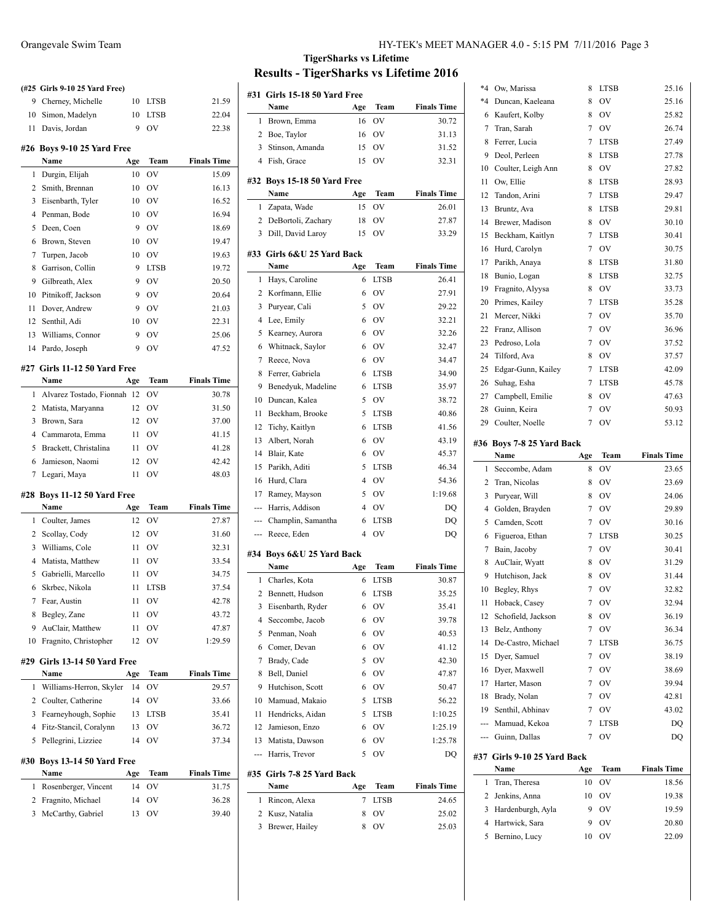|     | (#25 Girls 9-10 25 Yard Free)             |     |             |                    |
|-----|-------------------------------------------|-----|-------------|--------------------|
| 9   | Cherney, Michelle                         | 10  | <b>LTSB</b> | 21.59              |
| 10  | Simon, Madelyn                            | 10  | LTSB        | 22.04              |
| 11  | Davis, Jordan                             | 9   | OV          | 22.38              |
|     | #26 Boys 9-10 25 Yard Free                |     |             |                    |
|     | Name                                      | Age | Team        | <b>Finals Time</b> |
| 1   | Durgin, Elijah                            | 10  | OV          | 15.09              |
| 2   | Smith, Brennan                            | 10  | OV          | 16.13              |
| 3   | Eisenbarth, Tyler                         | 10  | OV          | 16.52              |
| 4   | Penman, Bode                              | 10  | OV          | 16.94              |
| 5   | Deen, Coen                                | 9   | OV          | 18.69              |
| 6   | Brown, Steven                             | 10  | OV          | 19.47              |
| 7   | Turpen, Jacob                             | 10  | OV          | 19.63              |
| 8   | Garrison, Collin                          | 9   | <b>LTSB</b> | 19.72              |
| 9   | Gilbreath, Alex                           | 9   | OV          | 20.50              |
| 10  | Pitnikoff, Jackson                        | 9   | OV          | 20.64              |
| 11  | Dover, Andrew                             | 9   | <b>OV</b>   | 21.03              |
| 12  | Senthil, Adi                              | 10  | OV          | 22.31              |
| 13  | Williams, Connor                          | 9   | OV          | 25.06              |
| 14  | Pardo, Joseph                             | 9   | OV          | 47.52              |
|     | #27 Girls 11-12 50 Yard Free              |     |             |                    |
|     | Name                                      | Age | Team        | <b>Finals Time</b> |
| 1   | Alvarez Tostado, Fionnah 12               |     | OV          | 30.78              |
| 2   | Matista, Maryanna                         | 12  | OV          | 31.50              |
| 3   | Brown, Sara                               | 12  | OV          | 37.00              |
| 4   | Cammarota, Emma                           | 11  | OV          | 41.15              |
| 5   | Brackett, Christalina                     | 11  | OV          | 41.28              |
|     |                                           |     |             |                    |
| 6   | Jamieson, Naomi                           | 12  | OV          | 42.42              |
| 7   | Legari, Maya                              | 11  | OV          | 48.03              |
|     |                                           |     |             |                    |
| #28 | Boys 11-12 50 Yard Free<br>Name           | Age | Team        | <b>Finals Time</b> |
| 1   | Coulter, James                            | 12  | OV          | 27.87              |
| 2   | Scollay, Cody                             | 12  | OV          | 31.60              |
| 3   | Williams, Cole                            | 11  | OV          | 32.31              |
| 4   | Matista, Matthew                          | 11  | OV          | 33.54              |
| 5   | Gabrielli, Marcello                       | 11  | OV          | 34.75              |
| 6   | Skrbec, Nikola                            | 11  | <b>LTSB</b> | 37.54              |
|     | 7 Fear, Austin                            |     | 11 OV       | 42.78              |
| 8   | Begley, Zane                              | 11  | OV          | 43.72              |
| 9   | AuClair, Matthew                          | 11  | OV          | 47.87              |
| 10  | Fragnito, Christopher                     | 12  | ov          | 1:29.59            |
|     |                                           |     |             |                    |
|     | #29 Girls 13-14 50 Yard Free<br>Name      | Age | <b>Team</b> | <b>Finals Time</b> |
| 1   | Williams-Herron, Skyler                   | 14  | OV          | 29.57              |
| 2   | Coulter, Catherine                        | 14  | OV          | 33.66              |
| 3   | Fearneyhough, Sophie                      | 13  | <b>LTSB</b> | 35.41              |
| 4   | Fitz-Stancil, Coralynn                    | 13  | OV          | 36.72              |
| 5   | Pellegrini, Lizziee                       | 14  | OV          | 37.34              |
|     |                                           |     |             |                    |
| #30 | <b>Boys 13-14 50 Yard Free</b><br>Name    | Age | Team        | <b>Finals Time</b> |
| 1   |                                           | 14  | OV          | 31.75              |
| 2   | Rosenberger, Vincent<br>Fragnito, Michael | 14  | OV          | 36.28              |
| 3   | McCarthy, Gabriel                         | 13  | OV          | 39.40              |

|     | #31 Girls 15-18 50 Yard Free       |          |             |                    |
|-----|------------------------------------|----------|-------------|--------------------|
|     | Name                               | Age      | Team        | <b>Finals Time</b> |
| 1   | Brown, Emma                        | 16       | OV          | 30.72              |
| 2   | Boe, Taylor                        | 16       | OV          | 31.13              |
| 3   | Stinson, Amanda                    | 15       | OV          | 31.52              |
|     | 4 Fish, Grace                      | 15       | OV          | 32.31              |
|     |                                    |          |             |                    |
|     | #32 Boys 15-18 50 Yard Free        |          |             |                    |
|     | Name                               | Age      | Team        | <b>Finals Time</b> |
| 1   | Zapata, Wade                       | 15       | OV          | 26.01              |
| 2   | DeBortoli, Zachary                 | 18       | OV          | 27.87              |
| 3   | Dill, David Laroy                  | 15       | OV          | 33.29              |
|     | #33 Girls 6&U 25 Yard Back         |          |             |                    |
|     | Name                               | Age      | Team        | <b>Finals Time</b> |
| 1   | Hays, Caroline                     | 6        | <b>LTSB</b> | 26.41              |
| 2   | Korfmann, Ellie                    | 6        | <b>OV</b>   | 27.91              |
| 3   | Puryear, Cali                      | 5        | <b>OV</b>   | 29.22              |
| 4   |                                    | 6        | <b>OV</b>   | 32.21              |
|     | Lee, Emily                         |          |             |                    |
| 5   | Kearney, Aurora                    | 6        | <b>OV</b>   | 32.26              |
| 6   | Whitnack, Saylor                   | 6        | <b>OV</b>   | 32.47              |
| 7   | Reece, Nova                        | 6        | <b>OV</b>   | 34.47              |
| 8   | Ferrer, Gabriela                   | 6        | <b>LTSB</b> | 34.90              |
| 9   | Benedyuk, Madeline                 | 6        | LTSB        | 35.97              |
| 10  | Duncan, Kalea                      | 5        | <b>OV</b>   | 38.72              |
| 11  | Beckham, Brooke                    | 5        | LTSB        | 40.86              |
| 12  | Tichy, Kaitlyn                     | 6        | <b>LTSB</b> | 41.56              |
| 13  | Albert, Norah                      | 6        | <b>OV</b>   | 43.19              |
| 14  | Blair, Kate                        | 6        | <b>OV</b>   | 45.37              |
| 15  | Parikh, Aditi                      | 5        | <b>LTSB</b> | 46.34              |
| 16  | Hurd, Clara                        | 4        | <b>OV</b>   | 54.36              |
| 17  | Ramey, Mayson                      | 5        | <b>OV</b>   | 1:19.68            |
| --- | Harris, Addison                    | 4        | <b>OV</b>   | DQ                 |
| --- | Champlin, Samantha                 | 6        | LTSB        | DQ                 |
|     | --- Reece, Eden                    | 4        | OV          | DQ                 |
|     | #34 Boys 6&U 25 Yard Back          |          |             |                    |
|     | Name                               | Age      | Team        | <b>Finals Time</b> |
| 1   | Charles, Kota                      | 6        | <b>LTSB</b> | 30.87              |
| 2   | Bennett, Hudson                    | 6        | <b>LTSB</b> | 35.25              |
| 3   | Eisenbarth, Ryder                  | 6        | OV          | 35.41              |
| 4   | Seccombe, Jacob                    | 6        | OV          | 39.78              |
| 5   | Penman, Noah                       | 6        | OV          | 40.53              |
| 6   | Comer, Devan                       | 6        | OV          | 41.12              |
|     |                                    |          | OV          |                    |
| 7   | Brady, Cade                        | 5        |             | 42.30              |
| 8   | Bell, Daniel                       | 6        | OV          | 47.87              |
| 9   | Hutchison, Scott                   | 6        | OV          | 50.47              |
| 10  | Mamuad, Makaio                     | 5        | <b>LTSB</b> | 56.22              |
| 11  | Hendricks, Aidan                   | 5        | <b>LTSB</b> | 1:10.25            |
| 12  | Jamieson, Enzo                     | 6        | OV          | 1:25.19            |
| 13  | Matista, Dawson                    | 6        | OV          | 1:25.78            |
| --- | Harris, Trevor                     | 5        | OV          | DQ                 |
|     | #35 Girls 7-8 25 Yard Back<br>Name |          | Team        | <b>Finals Time</b> |
| 1   |                                    | Age<br>7 |             |                    |
|     | Rincon, Alexa                      |          | LTSB        | 24.65              |
| 2   | Kusz, Natalia                      | 8        | OV          | 25.02              |
| 3   | Brewer, Hailey                     | 8        | OV          | 25.03              |

| *4                       | Ow, Marissa                   | 8              | LTSB        | 25.16              |
|--------------------------|-------------------------------|----------------|-------------|--------------------|
| $*4$                     | Duncan, Kaeleana              | 8              | OV          | 25.16              |
| 6                        | Kaufert, Kolby                | 8              | OV          | 25.82              |
| 7                        | Tran, Sarah                   | $\overline{7}$ | OV          | 26.74              |
| 8                        | Ferrer, Lucia                 | 7              | LTSB        | 27.49              |
| 9                        | Deol, Perleen                 | 8              | <b>LTSB</b> | 27.78              |
| 10                       | Coulter, Leigh Ann            | 8              | OV          | 27.82              |
| 11                       | Ow, Ellie                     | 8              | LTSB        | 28.93              |
| 12                       | Tandon, Arini                 | 7              | LTSB        | 29.47              |
| 13                       | Bruntz, Ava                   | 8              | LTSB        | 29.81              |
| 14                       | Brewer, Madison               | 8              | OV          | 30.10              |
| 15                       | Beckham, Kaitlyn              | 7              | LTSB        | 30.41              |
| 16                       | Hurd, Carolyn                 | 7              | OV          | 30.75              |
| 17                       | Parikh, Anaya                 | 8              | LTSB        | 31.80              |
| 18                       | Bunio, Logan                  | 8              | LTSB        | 32.75              |
| 19                       | Fragnito, Alyysa              | 8              | OV          | 33.73              |
| 20                       | Primes, Kailey                | 7              | <b>LTSB</b> | 35.28              |
| 21                       | Mercer, Nikki                 | 7              | OV          | 35.70              |
| 22                       | Franz, Allison                | $\overline{7}$ | OV          | 36.96              |
| 23                       | Pedroso, Lola                 | 7              | OV          | 37.52              |
| 24                       | Tilford, Ava                  | 8              | OV          | 37.57              |
|                          |                               | 7              |             |                    |
| 25                       | Edgar-Gunn, Kailey            |                | LTSB        | 42.09              |
| 26                       | Suhag, Esha                   | 7              | <b>LTSB</b> | 45.78              |
| 27                       | Campbell, Emilie              | 8              | OV          | 47.63              |
| 28                       | Guinn, Keira                  | 7              | OV          | 50.93              |
| 29                       | Coulter, Noelle               | 7              | OV          | 53.12              |
|                          | #36 Boys 7-8 25 Yard Back     |                |             |                    |
|                          |                               | Age            | Team        | <b>Finals Time</b> |
|                          | Name                          |                |             |                    |
| 1                        | Seccombe, Adam                | 8              | OV          | 23.65              |
| 2                        | Tran, Nicolas                 | 8              | OV          | 23.69              |
| 3                        | Puryear, Will                 | 8              | OV          | 24.06              |
| 4                        | Golden, Brayden               | 7              | OV          | 29.89              |
| 5                        | Camden, Scott                 | 7              | OV          | 30.16              |
| 6                        | Figueroa, Ethan               | 7              | LTSB        | 30.25              |
| 7                        | Bain, Jacoby                  | 7              | OV          | 30.41              |
| 8                        | AuClair, Wyatt                | 8              | OV          | 31.29              |
| 9                        | Hutchison, Jack               | 8              | OV          | 31.44              |
| 10                       |                               | 7              | OV          | 32.82              |
| 11                       | Begley, Rhys<br>Hoback, Casey | $\overline{7}$ | OV          | 32.94              |
| 12                       | Schofield, Jackson            | 8              | OV          | 36.19              |
| 13                       | Belz, Anthony                 | 7              | OV          | 36.34              |
| 14                       | De-Castro, Michael            | 7              | <b>LTSB</b> | 36.75              |
|                          |                               | 7              |             |                    |
| 15                       | Dyer, Samuel                  | 7              | OV          | 38.19              |
| 16                       | Dyer, Maxwell                 |                | OV          | 38.69              |
| 17                       | Harter, Mason                 | 7              | OV          | 39.94              |
| 18                       | Brady, Nolan                  | 7              | OV          | 42.81              |
| 19                       | Senthil, Abhinav              | 7              | OV          | 43.02              |
| ---                      | Mamuad, Kekoa                 | 7              | <b>LTSB</b> | DQ                 |
| $\overline{\phantom{a}}$ | Guinn, Dallas                 | 7              | OV          | DQ                 |
|                          | #37 Girls 9-10 25 Yard Back   |                |             |                    |
|                          | Name                          | Age            | Team        | <b>Finals Time</b> |
| 1                        | Tran, Theresa                 | 10             | OV          | 18.56              |
| 2                        | Jenkins, Anna                 | 10             | OV          | 19.38              |
| 3                        | Hardenburgh, Ayla             | 9              | OV          | 19.59              |
| 4                        | Hartwick, Sara                | 9              | OV          | 20.80              |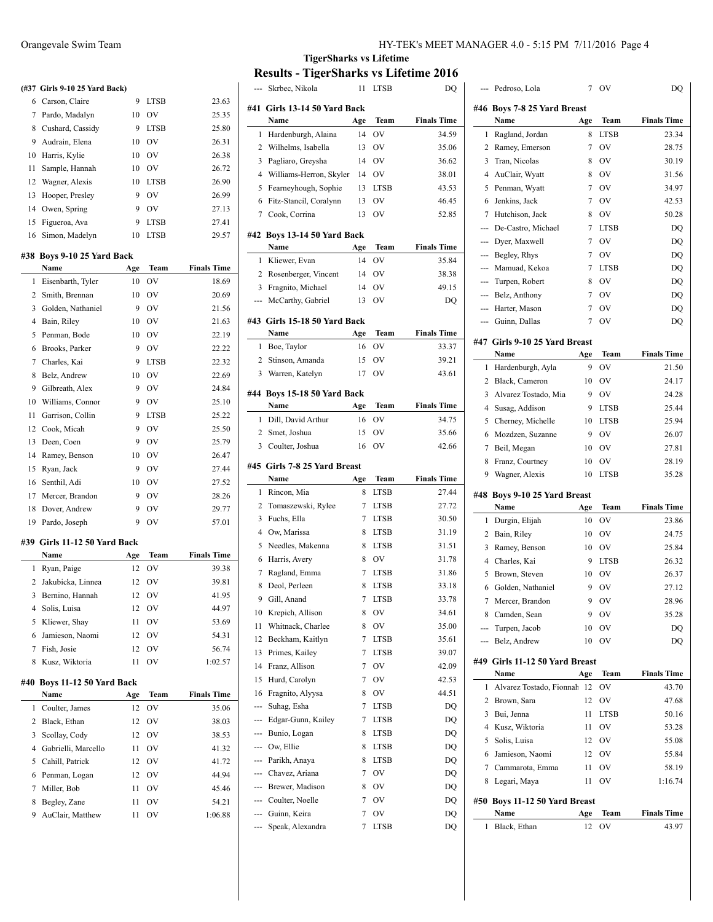|     | (#37 Girls 9-10 25 Yard Back) |     |                               |                    |
|-----|-------------------------------|-----|-------------------------------|--------------------|
|     | 6 Carson, Claire              | 9   | <b>LTSB</b>                   | 23.63              |
|     | 7 Pardo, Madalyn              | 10  | <b>OV</b>                     | 25.35              |
|     | 8 Cushard, Cassidy            | 9   | <b>LTSB</b>                   | 25.80              |
| 9   | Audrain, Elena                | 10  | OV                            | 26.31              |
| 10  | Harris, Kylie                 | 10  | OV                            | 26.38              |
| 11  | Sample, Hannah                | 10  | <b>OV</b>                     | 26.72              |
| 12  | Wagner, Alexis                | 10  | <b>LTSB</b>                   | 26.90              |
| 13  | Hooper, Presley               | 9   | <b>OV</b>                     | 26.99              |
| 14  | Owen, Spring                  | 9   | OV                            | 27.13              |
| 15  | Figueroa, Ava                 | 9   | <b>LTSB</b>                   | 27.41              |
| 16  | Simon, Madelyn                | 10  | <b>LTSB</b>                   | 29.57              |
|     | #38 Boys 9-10 25 Yard Back    |     |                               |                    |
|     | Name                          | Age | Team                          | <b>Finals Time</b> |
| 1   | Eisenbarth, Tyler             | 10  | OV                            | 18.69              |
| 2   | Smith, Brennan                | 10  | <b>OV</b>                     | 20.69              |
| 3   | Golden, Nathaniel             | 9   | OV                            | 21.56              |
| 4   | Bain, Riley                   | 10  | OV                            | 21.63              |
| 5   | Penman, Bode                  | 10  | OV                            | 22.19              |
| 6   | Brooks, Parker                | 9   | OV                            | 22.22              |
| 7   | Charles, Kai                  | 9   | <b>LTSB</b>                   | 22.32              |
| 8   | Belz, Andrew                  | 10  | OV                            | 22.69              |
| 9   | Gilbreath, Alex               | 9   | OV                            | 24.84              |
| 10  | Williams, Connor              | 9   | <b>OV</b>                     | 25.10              |
| 11  | Garrison, Collin              | 9   | <b>LTSB</b>                   | 25.22              |
| 12  | Cook, Micah                   | 9   | OV                            | 25.50              |
| 13  | Deen, Coen                    | 9   | OV                            | 25.79              |
| 14  | Ramey, Benson                 | 10  | OV                            | 26.47              |
| 15  | Ryan, Jack                    | 9   | OV                            | 27.44              |
| 16  | Senthil, Adi                  | 10  | <b>OV</b>                     | 27.52              |
| 17  | Mercer, Brandon               | 9   | <b>OV</b>                     | 28.26              |
| 18  | Dover, Andrew                 | 9   | OV                            | 29.77              |
| 19  | Pardo, Joseph                 | 9   | OV                            | 57.01              |
|     | #39 Girls 11-12 50 Yard Back  |     |                               |                    |
|     | Name                          | Age | Team                          | <b>Finals Time</b> |
| 1   | Ryan, Paige                   | 12  | OV                            | 39.38              |
| 2   | Jakubicka, Linnea             | 12  | OV                            | 39.81              |
|     | 3 Bernino, Hannah             | 12  | OV                            | 41.95              |
| 4   | Solis, Luisa                  | 12  | OV                            | 44.97              |
| 5   | Kliewer, Shay                 | 11  | OV                            | 53.69              |
| 6   | Jamieson, Naomi               | 12  | OV                            | 54.31              |
| 7   | Fish, Josie                   | 12  | OV                            | 56.74              |
| 8   | Kusz, Wiktoria                | 11  | OV                            | 1:02.57            |
| #40 | Boys 11-12 50 Yard Back       |     |                               |                    |
|     | Name                          | Age | Team                          | <b>Finals Time</b> |
| 1   | Coulter, James                | 12  | $\overline{\text{O}}\text{V}$ | 35.06              |
| 2   | Black, Ethan                  | 12  | OV                            | 38.03              |
| 3   | Scollay, Cody                 | 12  | OV                            | 38.53              |
| 4   | Gabrielli, Marcello           | 11  | OV                            | 41.32              |
| 5   | Cahill, Patrick               | 12  | OV                            | 41.72              |
| 6   | Penman, Logan                 | 12  | OV                            | 44.94              |
| 7   | Miller, Bob                   | 11  | OV                            | 45.46              |
| 8   | Begley, Zane                  | 11  | OV                            | 54.21              |
|     |                               |     |                               |                    |

AuClair, Matthew 11 OV 1:06.88

# **TigerSharks vs Lifetime Results - TigerSharks vs Lifetime 2016**<br>-- Skrbec Nikola 11 LTSB DO

--- Skrbec, Nikola 11 LTSB DO

| #41 | Girls 13-14 50 Yard Back<br>Name     | Age      | Team        | <b>Finals Time</b> |
|-----|--------------------------------------|----------|-------------|--------------------|
| 1   | Hardenburgh, Alaina                  | 14       | OV          | 34.59              |
|     | 2 Wilhelms, Isabella                 | 13       | OV          | 35.06              |
|     | 3 Pagliaro, Greysha                  | 14       | OV          | 36.62              |
|     | 4 Williams-Herron, Skyler            | 14       | OV          | 38.01              |
| 5   | Fearneyhough, Sophie                 | 13       | <b>LTSB</b> | 43.53              |
| 6   | Fitz-Stancil, Coralynn               | 13       | OV          | 46.45              |
| 7   | Cook, Corrina                        | 13       | OV          | 52.85              |
|     | #42 Boys 13-14 50 Yard Back          |          |             |                    |
|     | Name                                 | Age      | Team        | <b>Finals Time</b> |
| 1   | Kliewer, Evan                        | 14       | OV          | 35.84              |
|     | 2 Rosenberger, Vincent               | 14       | OV          | 38.38              |
|     | 3 Fragnito, Michael                  | 14       | OV          | 49.15              |
|     | --- McCarthy, Gabriel                | 13       | OV          | DQ                 |
|     | #43 Girls 15-18 50 Yard Back         |          |             |                    |
|     | Name                                 | Age      | Team        | <b>Finals Time</b> |
|     | 1 Boe, Taylor                        | 16       | OV          | 33.37              |
|     | 2 Stinson, Amanda                    | 15       | $\hbox{OV}$ | 39.21              |
|     | 3 Warren, Katelyn                    | 17       | OV          | 43.61              |
|     | #44 Boys 15-18 50 Yard Back          |          |             |                    |
|     | Name                                 | Age      | Team<br>OV  | <b>Finals Time</b> |
| 1   | Dill, David Arthur                   | 16       |             | 34.75              |
|     | 2 Smet, Joshua<br>3 Coulter, Joshua  | 15<br>16 | OV<br>OV    | 35.66<br>42.66     |
|     |                                      |          |             |                    |
|     |                                      |          |             |                    |
|     | #45 Girls 7-8 25 Yard Breast         |          |             |                    |
|     | Name                                 | Age      | Team        | <b>Finals Time</b> |
| 1   | Rincon, Mia                          | 8        | LTSB        | 27.44              |
|     | 2 Tomaszewski, Rylee                 | 7        | LTSB        | 27.72              |
|     | 3 Fuchs, Ella                        | 7        | LTSB        | 30.50              |
|     | 4 Ow, Marissa                        | 8        | LTSB        | 31.19              |
| 5   | Needles, Makenna                     | 8        | <b>LTSB</b> | 31.51              |
| 6   | Harris, Avery                        | 8        | OV          | 31.78              |
|     | 7 Ragland, Emma                      | 7        | <b>LTSB</b> | 31.86              |
| 8   | Deol, Perleen                        | 8        | <b>LTSB</b> | 33.18              |
|     | 9 Gill, Anand                        | 7        | <b>LTSB</b> | 33.78              |
|     | 10 Krepich, Allison                  | 8        | OV          | 34.61              |
| 11  | Whitnack, Charlee                    | 8        | OV          | 35.00              |
| 12  | Beckham, Kaitlyn                     | 7        | LTSB        | 35.61              |
| 13  | Primes, Kailey                       | 7        | LTSB        | 39.07              |
| 14  | Franz, Allison                       | 7        | OV          | 42.09              |
| 15  | Hurd, Carolyn                        | 7        | OV          | 42.53              |
| 16  | Fragnito, Alyysa                     | 8        | OV          | 44.51              |
| --- | Suhag, Esha                          | 7        | LTSB        | DQ                 |
| --- | Edgar-Gunn, Kailey                   | 7        | <b>LTSB</b> | DQ                 |
| --- | Bunio, Logan                         | 8        | <b>LTSB</b> | DQ                 |
| --- | Ow, Ellie                            | 8        | <b>LTSB</b> | DQ                 |
|     | --- Parikh, Anaya                    | 8        | <b>LTSB</b> | DQ                 |
|     | --- Chavez, Ariana                   | 7        | OV          | DQ                 |
| --- | Brewer, Madison                      | 8        | OV          | DQ                 |
|     | --- Coulter, Noelle                  | 7        | OV          | DQ                 |
| --- | --- Guinn, Keira<br>Speak, Alexandra | 7<br>7   | OV<br>LTSB  | DQ<br>DQ           |

| $\overline{a}$ | Pedroso, Lola                         | 7   | ov          | DQ                 |
|----------------|---------------------------------------|-----|-------------|--------------------|
|                | #46 Boys 7-8 25 Yard Breast           |     |             |                    |
|                | Name                                  | Age | Team        | <b>Finals Time</b> |
| 1              | Ragland, Jordan                       | 8   | <b>LTSB</b> | 23.34              |
| 2              | Ramey, Emerson                        | 7   | OV          | 28.75              |
| 3              | Tran, Nicolas                         | 8   | OV          | 30.19              |
| 4              | AuClair, Wyatt                        | 8   | OV          | 31.56              |
| 5              | Penman, Wyatt                         | 7   | OV          | 34.97              |
| 6              | Jenkins, Jack                         | 7   | OV          | 42.53              |
| 7              | Hutchison, Jack                       | 8   | OV          | 50.28              |
| ---            | De-Castro, Michael                    | 7   | <b>LTSB</b> | DQ                 |
| ---            | Dyer, Maxwell                         | 7   | OV          | DQ                 |
| ---            | Begley, Rhys                          | 7   | OV          | DQ                 |
| $\overline{a}$ | Mamuad, Kekoa                         | 7   | <b>LTSB</b> | DQ                 |
| ---            | Turpen, Robert                        | 8   | <b>OV</b>   | DQ                 |
| ---            | Belz, Anthony                         | 7   | <b>OV</b>   | DQ                 |
| ---            | Harter, Mason                         | 7   | OV          | DQ                 |
| ---            | Guinn, Dallas                         | 7   | OV          | DQ                 |
|                |                                       |     |             |                    |
|                | #47 Girls 9-10 25 Yard Breast         |     |             |                    |
|                | Name                                  | Age | Team        | <b>Finals Time</b> |
| 1              | Hardenburgh, Ayla                     | 9   | OV          | 21.50              |
| 2              | Black, Cameron                        | 10  | OV          | 24.17              |
| 3              | Alvarez Tostado, Mia                  | 9   | OV          | 24.28              |
| 4              | Susag, Addison                        | 9   | <b>LTSB</b> | 25.44              |
| 5              | Cherney, Michelle                     | 10  | <b>LTSB</b> | 25.94              |
| 6              | Mozdzen, Suzanne                      | 9   | <b>OV</b>   | 26.07              |
| 7              | Beil, Megan                           | 10  | <b>OV</b>   | 27.81              |
| 8              | Franz, Courtney                       | 10  | OV          | 28.19              |
| 9              | Wagner, Alexis                        | 10  | LTSB        | 35.28              |
|                |                                       |     |             |                    |
| #48            | Boys 9-10 25 Yard Breast              |     |             |                    |
|                | Name                                  | Age | Team        | <b>Finals Time</b> |
| 1              | Durgin, Elijah                        | 10  | OV          | 23.86              |
| 2              | Bain, Riley                           | 10  | OV          | 24.75              |
| 3              | Ramey, Benson                         | 10  | OV          | 25.84              |
| 4              | Charles, Kai                          | 9   | <b>LTSB</b> | 26.32              |
| 5              | Brown, Steven                         | 10  | <b>OV</b>   | 26.37              |
| 6              | Golden, Nathaniel                     | 9   | OV          | 27.12              |
| $\tau$         | Mercer, Brandon                       | 9   | OV          | 28.96              |
| 8              | Camden, Sean                          | 9   | OV          | 35.28              |
| ---            | Turpen, Jacob                         | 10  | OV          | DQ                 |
| ---            | Belz, Andrew                          | 10  | OV          | DQ                 |
|                |                                       |     |             |                    |
|                | #49 Girls 11-12 50 Yard Breast        |     |             |                    |
|                | Name                                  | Age | Team        | <b>Finals Time</b> |
| 1              | Alvarez Tostado, Fionnah              | 12  | ov          | 43.70              |
| 2              | Brown, Sara                           | 12  | OV          | 47.68              |
| 3              | Bui, Jenna                            | 11  | <b>LTSB</b> | 50.16              |
| 4              | Kusz, Wiktoria                        | 11  | OV          | 53.28              |
| 5              | Solis, Luisa                          | 12  | OV          | 55.08              |
| 6              | Jamieson, Naomi                       | 12  | OV          | 55.84              |
| 7              | Cammarota, Emma                       | 11  | OV          | 58.19              |
| 8              | Legari, Maya                          | 11  | OV          | 1:16.74            |
|                |                                       |     |             |                    |
|                | #50 Boys 11-12 50 Yard Breast<br>Name | Age | Team        | <b>Finals Time</b> |
| 1              | Black, Ethan                          | 12  | ov          | 43.97              |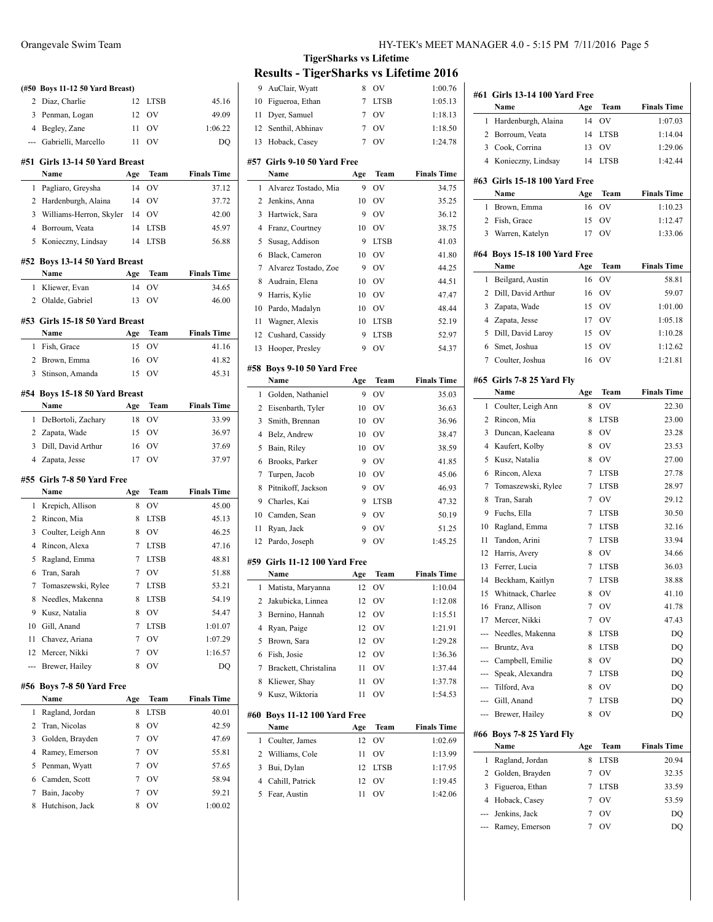| 2      | (#50 Boys 11-12 50 Yard Breast)<br>Diaz, Charlie | 12     | <b>LTSB</b> | 45.16              |
|--------|--------------------------------------------------|--------|-------------|--------------------|
| 3      | Penman, Logan                                    | 12     | OV          | 49.09              |
|        | 4 Begley, Zane                                   | 11     | OV          | 1:06.22            |
| ---    | Gabrielli, Marcello                              | 11     | OV          | DO                 |
|        |                                                  |        |             |                    |
| #51    | Girls 13-14 50 Yard Breast<br>Name               | Age    | Team        | <b>Finals Time</b> |
| 1      | Pagliaro, Greysha                                | 14     | OV          | 37.12              |
| 2      | Hardenburgh, Alaina                              | 14     | OV          | 37.72              |
| 3      | Williams-Herron, Skyler                          | 14     | OV          | 42.00              |
|        | 4 Borroum. Veata                                 | 14     | <b>LTSB</b> | 45.97              |
| 5      | Konieczny, Lindsay                               | 14     | <b>LTSB</b> | 56.88              |
|        |                                                  |        |             |                    |
| #52    | Boys 13-14 50 Yard Breast<br>Name                | Age    | Team        | <b>Finals Time</b> |
| 1      | Kliewer, Evan                                    | 14     | OV          | 34.65              |
| 2      | Olalde, Gabriel                                  | 13     | OV          | 46.00              |
|        |                                                  |        |             |                    |
|        | #53 Girls 15-18 50 Yard Breast                   |        |             |                    |
|        | Name                                             | Age    | Team        | <b>Finals Time</b> |
| 1      | Fish, Grace                                      | 15     | OV          | 41.16              |
|        | 2 Brown, Emma                                    | 16     | OV          | 41.82              |
| 3      | Stinson, Amanda                                  | 15     | OV          | 45.31              |
|        | #54 Boys 15-18 50 Yard Breast                    |        |             |                    |
|        | Name                                             | Age    | Team        | <b>Finals Time</b> |
| 1      | DeBortoli, Zachary                               | 18     | OV          | 33.99              |
|        | 2 Zapata, Wade                                   | 15     | OV          | 36.97              |
| 3      | Dill, David Arthur                               | 16     | OV          | 37.69              |
|        | 4 Zapata, Jesse                                  | 17     | OV          | 37.97              |
| #55    | Girls 7-8 50 Yard Free                           |        |             |                    |
|        | Name                                             | Age    | Team        | <b>Finals Time</b> |
| 1      | Krepich, Allison                                 | 8      | OV          | 45.00              |
|        | 2 Rincon, Mia                                    | 8      | <b>LTSB</b> | 45.13              |
| 3      | Coulter, Leigh Ann                               | 8      | OV          | 46.25              |
| 4      | Rincon, Alexa                                    | 7      | <b>LTSB</b> | 47.16              |
| 5      | Ragland, Emma                                    | 7      | <b>LTSB</b> | 48.81              |
| 6      | Tran, Sarah                                      | 7      | OV          | 51.88              |
| 7      | Tomaszewski, Rylee                               | 7      | <b>LTSB</b> | 53.21              |
| 8      | Needles, Makenna                                 | 8      | LTSB        | 54.19              |
| 9      | Kusz, Natalia                                    | 8      | OV          | 54.47              |
| 10     | Gill, Anand                                      | 7      | <b>LTSB</b> | 1:01.07            |
| 11     | Chavez, Ariana                                   | 7      | OV          | 1:07.29            |
| 12     | Mercer, Nikki                                    | 7      | OV          | 1:16.57            |
| ---    | Brewer, Hailey                                   | 8      | OV          | DO                 |
| #56    | Boys 7-8 50 Yard Free                            |        |             |                    |
|        | Name                                             | Age    | Team        | <b>Finals Time</b> |
| 1      | Ragland, Jordan                                  | 8      | LTSB        | 40.01              |
| 2      | Tran, Nicolas                                    | 8      | OV          | 42.59              |
| 3      | Golden, Brayden                                  | 7      | OV          | 47.69              |
| 4      | Ramey, Emerson                                   | 7      | OV          | 55.81              |
| 5<br>6 | Penman, Wyatt                                    | 7<br>7 | OV          | 57.65<br>58.94     |
|        | Camden, Scott                                    |        | OV          |                    |

 Bain, Jacoby 7 OV 59.21 8 Hutchison, Jack 8 OV 1:00.02

| 9              | AuClair, Wyatt                       | 8        | OV          | 1:00.76            |
|----------------|--------------------------------------|----------|-------------|--------------------|
| 10             | Figueroa, Ethan                      | 7        | <b>LTSB</b> | 1:05.13            |
| 11             | Dyer, Samuel                         | 7        | OV          | 1:18.13            |
| 12             | Senthil, Abhinav                     | 7        | OV          | 1:18.50            |
| 13             | Hoback, Casey                        | 7        | OV          | 1:24.78            |
| #57            | Girls 9-10 50 Yard Free              |          |             |                    |
|                | Name                                 | Age      | Team        | <b>Finals Time</b> |
| 1              | Alvarez Tostado, Mia                 | 9        | OV          | 34.75              |
| 2              | Jenkins, Anna                        | 10       | OV          | 35.25              |
| 3              | Hartwick, Sara                       | 9        | OV          | 36.12              |
| 4              | Franz, Courtney                      | 10       | <b>OV</b>   | 38.75              |
| 5              | Susag, Addison                       | 9        | <b>LTSB</b> | 41.03              |
| 6              | Black, Cameron                       | 10       | OV          | 41.80              |
| 7              | Alvarez Tostado, Zoe                 | 9        | OV          | 44.25              |
| 8              | Audrain, Elena                       | 10       | OV          | 44.51              |
| 9              | Harris, Kylie                        | 10       | OV          | 47.47              |
| 10             | Pardo, Madalyn                       | 10       | OV          | 48.44              |
| 11             | Wagner, Alexis                       | 10       | <b>LTSB</b> | 52.19              |
| 12             | Cushard, Cassidy                     | 9        | LTSB        | 52.97              |
| 13             | Hooper, Presley                      | 9        | OV          | 54.37              |
|                |                                      |          |             |                    |
| #58            | <b>Boys 9-10 50 Yard Free</b>        |          |             |                    |
|                | Name                                 | Age      | Team        | <b>Finals Time</b> |
| 1              | Golden, Nathaniel                    | 9        | OV          | 35.03              |
| 2              | Eisenbarth, Tyler                    | 10       | OV          | 36.63              |
| 3              | Smith, Brennan                       | 10       | OV          | 36.96              |
| $\overline{4}$ | Belz, Andrew                         | 10       | OV          | 38.47              |
| 5              | Bain, Riley                          | 10       | OV          | 38.59              |
| 6              | Brooks, Parker                       | 9        | OV          | 41.85              |
| 7              | Turpen, Jacob                        | 10       | <b>OV</b>   | 45.06              |
| 8              | Pitnikoff, Jackson                   | 9        | OV          | 46.93              |
| 9              | Charles, Kai                         | 9        | <b>LTSB</b> | 47.32              |
| 10             | Camden, Sean                         | 9        | OV          | 50.19              |
| 11             | Ryan, Jack                           | 9        | OV          | 51.25              |
| 12             | Pardo, Joseph                        | 9        | OV          | 1:45.25            |
|                | #59 Girls 11-12 100 Yard Free        |          |             |                    |
|                | Name                                 | Age      | Team        | <b>Finals Time</b> |
| 1              | Matista, Maryanna                    | 12       | OV          | 1:10.04            |
| 2              | Jakubicka, Linnea                    | 12       | OV          | 1:12.08            |
| 3              | Bernino, Hannah                      | 12       | OV          | 1:15.51            |
| 4              | Ryan, Paige                          | 12       | OV          | 1:21.91            |
| 5              | Brown, Sara                          | 12       | OV          | 1:29.28            |
| 6              | Fish, Josie                          | 12       | OV          | 1:36.36            |
| 7              | Brackett, Christalina                | 11       |             | 1:37.44            |
| 8              |                                      |          | OV          |                    |
|                | Kliewer, Shay                        | 11       | OV          | 1:37.78            |
| 9              | Kusz, Wiktoria                       | 11       | OV          | 1:54.53            |
|                |                                      |          |             |                    |
|                | #60 Boys 11-12 100 Yard Free<br>Name |          |             |                    |
| 1              |                                      | Age      | Team        | <b>Finals Time</b> |
|                | Coulter, James                       | 12       | OV          | 1:02.69            |
| 2<br>3         | Williams, Cole                       | 11       | OV          | 1:13.99            |
| 4              | Bui, Dylan<br>Cahill, Patrick        | 12<br>12 | LTSB<br>OV  | 1:17.95<br>1:19.45 |

|                | #61 Girls 13-14 100 Yard Free         |             |             |                    |
|----------------|---------------------------------------|-------------|-------------|--------------------|
|                | Name                                  | Age         | Team        | <b>Finals Time</b> |
| 1              | Hardenburgh, Alaina                   | 14          | ov          | 1:07.03            |
| 2              | Borroum, Veata                        | 14          | LTSB        | 1:14.04            |
|                | 3 Cook, Corrina                       | 13          | OV          | 1:29.06            |
| 4              | Konieczny, Lindsay                    | 14          | <b>LTSB</b> | 1:42.44            |
|                | #63 Girls 15-18 100 Yard Free<br>Name | Age         | Team        | <b>Finals Time</b> |
| 1              |                                       |             | OV          | 1:10.23            |
| 2              | Brown, Emma                           | 16<br>15    |             |                    |
| 3              | Fish, Grace<br>Warren, Katelyn        | 17          | OV<br>OV    | 1:12.47<br>1:33.06 |
|                |                                       |             |             |                    |
|                | #64 Boys 15-18 100 Yard Free<br>Name  | Age         | <b>Team</b> | <b>Finals Time</b> |
| 1              | Beilgard, Austin                      | 16          | OV          | 58.81              |
| 2              | Dill, David Arthur                    | 16          | OV          | 59.07              |
| 3              | Zapata, Wade                          | 15          | OV          | 1:01.00            |
| 4              | Zapata, Jesse                         | 17          | OV          | 1:05.18            |
| 5              | Dill, David Laroy                     | 15          | OV          | 1:10.28            |
| 6              | Smet, Joshua                          | 15          | OV          | 1:12.62            |
| 7              | Coulter, Joshua                       | 16          | OV          | 1:21.81            |
|                |                                       |             |             |                    |
|                | #65 Girls 7-8 25 Yard Fly             |             |             |                    |
|                | Name                                  | Age         | Team        | <b>Finals Time</b> |
| 1              | Coulter, Leigh Ann                    | 8           | OV          | 22.30              |
| 2              | Rincon, Mia                           | 8           | LTSB        | 23.00              |
| 3              | Duncan, Kaeleana                      | 8           | OV          | 23.28              |
| 4              | Kaufert, Kolby                        | 8           | OV          | 23.53              |
| 5              | Kusz, Natalia                         | 8           | OV          | 27.00              |
| 6              | Rincon, Alexa                         | 7           | LTSB        | 27.78              |
| 7              | Tomaszewski, Rylee                    | 7           | LTSB        | 28.97              |
| 8              | Tran, Sarah                           | 7           | OV          | 29.12              |
| 9              | Fuchs, Ella                           | 7           | LTSB        | 30.50              |
| 10             | Ragland, Emma                         | 7           | LTSB        | 32.16              |
| 11             | Tandon, Arini                         | 7           | LTSB        | 33.94              |
| 12             | Harris, Avery                         | 8           | OV          | 34.66              |
| 13             | Ferrer, Lucia                         | 7           | LTSB        | 36.03              |
| 14             | Beckham, Kaitlyn                      | 7           | <b>LTSB</b> | 38.88              |
| 15             | Whitnack, Charlee                     | 8           | OV          | 41.10              |
|                | 16 Franz, Allison                     | $7^{\circ}$ | OV          | 41.78              |
|                | 17 Mercer, Nikki                      | 7           | OV          | 47.43              |
| ---            | Needles, Makenna                      | 8           | LTSB        | DQ                 |
| ---            | Bruntz, Ava                           | 8           | LTSB        | DQ                 |
|                | --- Campbell, Emilie                  | 8           | OV          | DQ                 |
|                | --- Speak, Alexandra                  | 7           | LTSB        | DQ                 |
| ---            | Tilford, Ava                          | 8           | OV          | DQ                 |
|                | --- Gill, Anand                       | 7           | LTSB        | DQ                 |
|                | --- Brewer, Hailey                    | 8           | OV          | DQ                 |
|                | #66 Boys 7-8 25 Yard Fly              |             |             |                    |
|                | Name                                  | Age         | Team        | <b>Finals Time</b> |
| 1              | Ragland, Jordan                       | 8           | LTSB        | 20.94              |
| $\overline{2}$ | Golden, Brayden                       | 7           | OV          | 32.35              |
| 3              | Figueroa, Ethan                       | 7           | LTSB        | 33.59              |
| 4              | Hoback, Casey                         | 7           | OV          | 53.59              |
| ---            | Jenkins, Jack                         | 7           | OV          | DQ                 |
| ---            | Ramey, Emerson                        | 7           | OV          | DQ                 |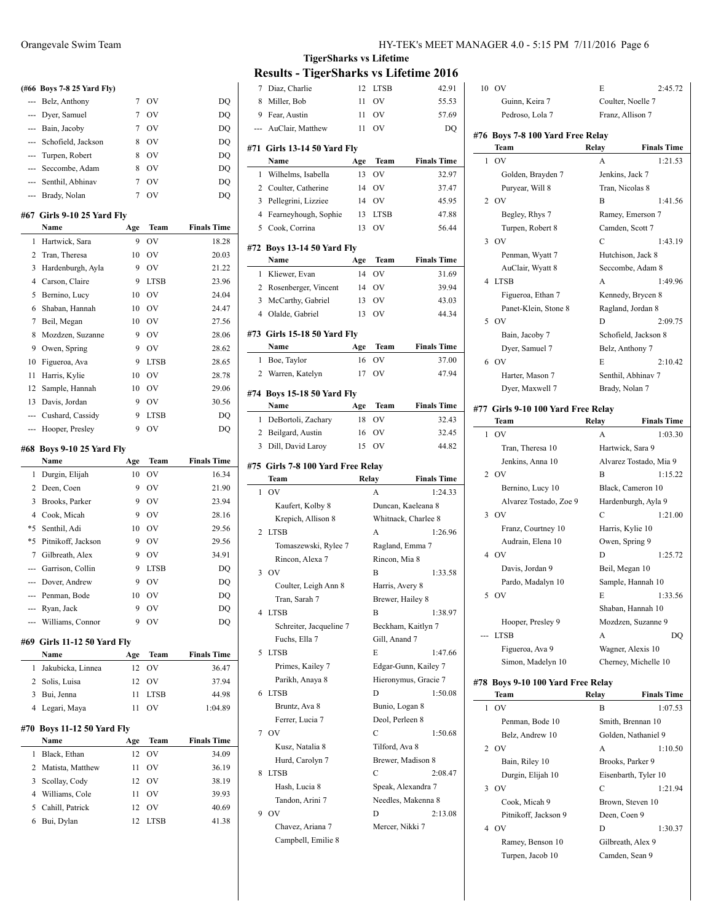|                | (#66 Boys 7-8 25 Yard Fly)   |             |             |                    |
|----------------|------------------------------|-------------|-------------|--------------------|
| ---            | Belz, Anthony                | 7           | OV          | DQ                 |
| ---            | Dyer, Samuel                 | 7           | OV          | DO                 |
| ---            | Bain, Jacoby                 | 7           | OV          | DQ                 |
| $\cdots$       | Schofield, Jackson           | 8           | OV          | DQ                 |
| ---            | Turpen, Robert               | 8           | OV          | DQ                 |
| ---            | Seccombe, Adam               | 8           | OV          | DQ                 |
| $---$          | Senthil, Abhinav             | 7           | OV          | DQ                 |
| $\overline{a}$ | Brady, Nolan                 | 7           | OV          | DQ                 |
|                | #67 Girls 9-10 25 Yard Fly   |             |             |                    |
|                | Name                         | Age         | Team        | <b>Finals Time</b> |
| 1              | Hartwick, Sara               | 9           | OV          | 18.28              |
| 2              | Tran, Theresa                | 10          | OV          | 20.03              |
| 3              | Hardenburgh, Ayla            | 9           | OV          | 21.22              |
| 4              | Carson, Claire               | 9           | <b>LTSB</b> | 23.96              |
| 5              | Bernino, Lucy                | 10          | OV          | 24.04              |
| 6              | Shaban, Hannah               | 10          | OV          | 24.47              |
| 7              | Beil, Megan                  | 10          | OV          | 27.56              |
| 8              | Mozdzen, Suzanne             | 9           | <b>OV</b>   | 28.06              |
| 9              | Owen, Spring                 | 9           | OV          | 28.62              |
| 10             | Figueroa, Ava                | 9           | <b>LTSB</b> | 28.65              |
| 11             | Harris, Kylie                | 10          | OV          | 28.78              |
| 12             | Sample, Hannah               | 10          | OV          | 29.06              |
| 13             | Davis, Jordan                | 9           | OV          | 30.56              |
| ---            | Cushard, Cassidy             | 9           | <b>LTSB</b> | DQ                 |
| $\cdots$       | Hooper, Presley              | 9           | OV          | DQ                 |
| #68            | <b>Boys 9-10 25 Yard Fly</b> |             |             |                    |
|                | Name                         | Age         | Team        | <b>Finals Time</b> |
| 1              | Durgin, Elijah               | 10          | OV          | 16.34              |
| 2              | Deen, Coen                   | 9           | OV          | 21.90              |
| $\mathbf{R}$   | <b>Brooks</b> Parker         | $\mathbf Q$ | OV          | 23.94              |

 $\frac{1}{2}$ 

 $\overline{\phantom{0}}$ 

|                | Garrison, Collin             | 9   | <b>LTSB</b> | DQ                 |
|----------------|------------------------------|-----|-------------|--------------------|
|                | Dover, Andrew                | 9   | OV          | DQ                 |
|                | Penman, Bode                 | 10  | OV          | DQ                 |
| $\overline{a}$ | Ryan, Jack                   | 9   | OV          | DQ                 |
| ---            | Williams, Connor             | 9   | OV          | DQ                 |
|                |                              |     |             |                    |
|                | #69  Girls 11-12 50 Yard Fly |     |             |                    |
|                | Name                         | Age | Team        | <b>Finals Time</b> |
| 1              | Jakubicka, Linnea            | 12  | OV          | 36.47              |
| 2              | Solis, Luisa                 | 12  | OV          | 37.94              |
| 3              | Bui, Jenna                   | 11  | <b>LTSB</b> | 44.98              |
| 4              | Legari, Maya                 | 11  | OV          | 1:04.89            |
|                | #70 Boys 11-12 50 Yard Fly   |     |             |                    |

|    | Name               | Age | Team        | <b>Finals Time</b> |
|----|--------------------|-----|-------------|--------------------|
| 1. | Black, Ethan       | 12  | - OV        | 34.09              |
|    | 2 Matista, Matthew | 11  | OV          | 36.19              |
|    | 3 Scollay, Cody    | 12  | - OV        | 38.19              |
|    | 4 Williams, Cole   | 11  | OV          | 39.93              |
|    | 5 Cahill, Patrick  | 12. | $_{\rm OV}$ | 40.69              |
|    | 6 Bui, Dylan       | 12  | LTSB        | 41.38              |
|    |                    |     |             |                    |

| 7              | Diaz, Charlie                             | 12       | <b>LTSB</b>                         | 42.91                |
|----------------|-------------------------------------------|----------|-------------------------------------|----------------------|
| 8              | Miller, Bob                               | 11       | OV                                  | 55.53                |
| 9              | Fear, Austin                              | 11       | OV                                  | 57.69                |
| ---            | AuClair, Matthew                          | 11       | OV                                  | DQ                   |
|                |                                           |          |                                     |                      |
| #71            | <b>Girls 13-14 50 Yard Fly</b><br>Name    |          | Team                                | <b>Finals Time</b>   |
|                |                                           | Age      |                                     |                      |
| 1<br>2         | Wilhelms, Isabella<br>Coulter, Catherine  | 13<br>14 | OV<br>OV                            | 32.97<br>37.47       |
|                |                                           |          |                                     |                      |
| 3              | Pellegrini, Lizziee                       | 14       | OV                                  | 45.95                |
| $\overline{4}$ | Fearneyhough, Sophie                      | 13       | <b>LTSB</b>                         | 47.88                |
| 5              | Cook, Corrina                             | 13       | OV                                  | 56.44                |
|                | #72  Boys 13-14 50 Yard Fly               |          |                                     |                      |
|                | Name                                      | Age      | Team                                | <b>Finals Time</b>   |
| 1              | Kliewer, Evan                             | 14       | OV                                  | 31.69                |
|                | 2 Rosenberger, Vincent                    | 14       | OV                                  | 39.94                |
| 3              | McCarthy, Gabriel                         | 13       | OV                                  | 43.03                |
|                | 4 Olalde, Gabriel                         | 13       | OV                                  | 44.34                |
|                | #73  Girls 15-18 50 Yard Fly              |          |                                     |                      |
|                | Name                                      | Age      | Team                                | <b>Finals Time</b>   |
| 1              | Boe, Taylor                               | 16       | OV                                  | 37.00                |
| 2              | Warren, Katelyn                           | 17       | OV                                  | 47.94                |
|                |                                           |          |                                     |                      |
|                | #74 Boys 15-18 50 Yard Fly<br>Name        | Age      | Team                                | <b>Finals Time</b>   |
| 1              | DeBortoli, Zachary                        | 18       | <b>OV</b>                           | 32.43                |
|                | 2 Beilgard, Austin                        | 16       | OV                                  | 32.45                |
| 3              | Dill, David Laroy                         | 15       | OV                                  | 44.82                |
|                |                                           |          |                                     |                      |
|                | #75 Girls 7-8 100 Yard Free Relay<br>Team |          |                                     | <b>Finals Time</b>   |
| 1              | OV                                        | Relay    | A                                   | 1:24.33              |
|                |                                           |          |                                     |                      |
|                | Kaufert, Kolby 8                          |          | Duncan, Kaeleana 8                  |                      |
|                | Krepich, Allison 8                        |          | Whitnack, Charlee 8                 |                      |
| 2              | <b>LTSB</b>                               |          | A                                   | 1:26.96              |
|                | Tomaszewski, Rylee 7                      |          | Ragland, Emma 7<br>Rincon, Mia 8    |                      |
| 3              | Rincon, Alexa 7<br>OV                     |          | B                                   | 1:33.58              |
|                | Coulter, Leigh Ann 8                      |          |                                     |                      |
|                | Tran, Sarah 7                             |          | Harris, Avery 8<br>Brewer, Hailey 8 |                      |
| 4              | LTSB                                      |          | B                                   | 1:38.97              |
|                | Schreiter, Jacqueline 7                   |          | Beckham, Kaitlyn 7                  |                      |
|                | Fuchs, Ella 7                             |          | Gill, Anand 7                       |                      |
| 5              | <b>LTSB</b>                               |          | E                                   | 1:47.66              |
|                | Primes, Kailey 7                          |          |                                     | Edgar-Gunn, Kailey 7 |
|                | Parikh, Anaya 8                           |          |                                     | Hieronymus, Gracie 7 |
| 6              | <b>LTSB</b>                               |          | D                                   | 1:50.08              |
|                | Bruntz, Ava 8                             |          | Bunio, Logan 8                      |                      |
|                | Ferrer, Lucia 7                           |          | Deol, Perleen 8                     |                      |
| 7              | <b>OV</b>                                 |          | C                                   | 1:50.68              |
|                | Kusz, Natalia 8                           |          | Tilford, Ava 8                      |                      |
|                | Hurd, Carolyn 7                           |          | Brewer, Madison 8                   |                      |
| 8              | <b>LTSB</b>                               |          | C                                   | 2:08.47              |
|                | Hash, Lucia 8                             |          | Speak, Alexandra 7                  |                      |
|                | Tandon, Arini 7                           |          | Needles, Makenna 8                  |                      |
| 9              | OV                                        |          | D                                   | 2:13.08              |
|                | Chavez, Ariana 7                          |          | Mercer, Nikki 7                     |                      |
|                | Campbell, Emilie 8                        |          |                                     |                      |
|                |                                           |          |                                     |                      |

|   | 10 OV                              | E                                   | 2:45.72                |  |
|---|------------------------------------|-------------------------------------|------------------------|--|
|   | Guinn, Keira 7                     | Coulter, Noelle 7                   |                        |  |
|   | Pedroso, Lola 7                    |                                     | Franz, Allison 7       |  |
|   | #76 Boys 7-8 100 Yard Free Relay   |                                     |                        |  |
|   | Team                               | Relay                               | <b>Finals Time</b>     |  |
| 1 | OV                                 | A                                   | 1:21.53                |  |
|   | Golden, Brayden 7                  | Jenkins, Jack 7                     |                        |  |
|   | Puryear, Will 8                    | Tran, Nicolas 8                     |                        |  |
| 2 | OV                                 | B                                   | 1:41.56                |  |
|   | Begley, Rhys 7                     |                                     | Ramey, Emerson 7       |  |
|   | Turpen, Robert 8                   | Camden, Scott 7                     |                        |  |
| 3 | OV                                 | C                                   | 1:43.19                |  |
|   | Penman, Wyatt 7                    |                                     | Hutchison, Jack 8      |  |
|   | AuClair, Wyatt 8                   |                                     | Seccombe, Adam 8       |  |
| 4 | <b>LTSB</b>                        | A                                   | 1:49.96                |  |
|   | Figueroa, Ethan 7                  |                                     | Kennedy, Brycen 8      |  |
|   | Panet-Klein, Stone 8               |                                     | Ragland, Jordan 8      |  |
| 5 | <b>OV</b>                          | D                                   | 2:09.75                |  |
|   | Bain, Jacoby 7                     |                                     | Schofield, Jackson 8   |  |
|   | Dyer, Samuel 7                     | Belz, Anthony 7                     |                        |  |
| 6 | <b>OV</b>                          | E                                   | 2:10.42                |  |
|   | Harter, Mason 7                    |                                     | Senthil, Abhinav 7     |  |
|   | Dyer, Maxwell 7                    | Brady, Nolan 7                      |                        |  |
|   |                                    |                                     |                        |  |
|   | #77 Girls 9-10 100 Yard Free Relay |                                     |                        |  |
|   | Team                               | Relay                               | <b>Finals Time</b>     |  |
| 1 | OV                                 | А                                   | 1:03.30                |  |
|   | Tran, Theresa 10                   | Hartwick, Sara 9                    |                        |  |
|   | Jenkins, Anna 10                   |                                     | Alvarez Tostado, Mia 9 |  |
| 2 | OV                                 | B                                   | 1:15.22                |  |
|   | Bernino, Lucy 10                   |                                     | Black, Cameron 10      |  |
|   | Alvarez Tostado, Zoe 9             |                                     | Hardenburgh, Ayla 9    |  |
| 3 | - OV                               | С                                   | 1:21.00                |  |
|   | Franz, Courtney 10                 | Harris, Kylie 10                    |                        |  |
|   | Audrain, Elena 10                  | Owen, Spring 9                      |                        |  |
|   | 4 OV                               | D                                   | 1:25.72                |  |
|   | Davis, Jordan 9                    | Beil, Megan 10                      |                        |  |
|   | Pardo, Madalyn 10                  |                                     | Sample, Hannah 10      |  |
|   | 5 OV                               | E                                   | 1:33.56                |  |
|   |                                    |                                     | Shaban, Hannah 10      |  |
|   | Hooper, Presley 9                  |                                     | Mozdzen, Suzanne 9     |  |
|   | <b>LTSB</b>                        | A                                   | DO                     |  |
|   | Figueroa, Ava 9                    |                                     | Wagner, Alexis 10      |  |
|   | Simon, Madelyn 10                  |                                     | Cherney, Michelle 10   |  |
|   | #78 Boys 9-10 100 Yard Free Relay  |                                     |                        |  |
|   | Team                               | Relay                               | <b>Finals Time</b>     |  |
| 1 | OV                                 | B                                   | 1:07.53                |  |
|   | Penman, Bode 10                    |                                     | Smith, Brennan 10      |  |
|   | Belz, Andrew 10                    |                                     | Golden, Nathaniel 9    |  |
| 2 | O <sub>V</sub>                     | А                                   | 1:10.50                |  |
|   | Bain, Riley 10                     | Brooks, Parker 9                    |                        |  |
|   | Durgin, Elijah 10                  |                                     | Eisenbarth, Tyler 10   |  |
| 3 | OV                                 | С                                   | 1:21.94                |  |
|   | Cook, Micah 9                      |                                     | Brown, Steven 10       |  |
|   | Pitnikoff, Jackson 9               | Deen, Coen 9                        |                        |  |
|   | 4 OV                               | D                                   | 1:30.37                |  |
|   | Ramey, Benson 10                   |                                     |                        |  |
|   |                                    | Gilbreath, Alex 9<br>Camden, Sean 9 |                        |  |
|   | Turpen, Jacob 10                   |                                     |                        |  |